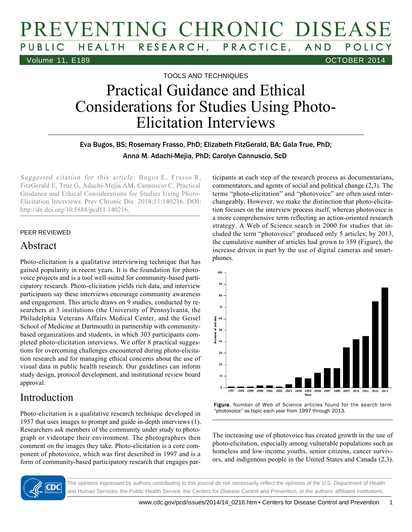# PREVENTING CHRONIC DISEASE PUBLIC HEALTH RESEARCH, PRACTICE, AND POLICY Volume 11, E189 OCTOBER 2014

TOOLS AND TECHNIQUES

# Practical Guidance and Ethical Considerations for Studies Using Photo-Elicitation Interviews

### Eva Bugos, BS; Rosemary Frasso, PhD; Elizabeth FitzGerald, BA; Gala True, PhD; Anna M. Adachi-Mejia, PhD; Carolyn Cannuscio, ScD

Suggested citation for this article: Bugos E, Frasso R, FitzGerald E, True G, Adachi-Mejia AM, Cannuscio C. Practical Guidance and Ethical Considerations for Studies Using Photo-Elicitation Interviews. Prev Chronic Dis 2014;11:140216. DOI: [http://dx.doi.org/10.5888/pcd11.140216.](http://dx.doi.org/10.5888/pcd11.140216)

### PEER REVIEWED

## Abstract

Photo-elicitation is a qualitative interviewing technique that has gained popularity in recent years. It is the foundation for photovoice projects and is a tool well-suited for community-based participatory research. Photo-elicitation yields rich data, and interview participants say these interviews encourage community awareness and engagement. This article draws on 9 studies, conducted by researchers at 3 institutions (the University of Pennsylvania, the Philadelphia Veterans Affairs Medical Center, and the Geisel School of Medicine at Dartmouth) in partnership with communitybased organizations and students, in which 303 participants completed photo-elicitation interviews. We offer 8 practical suggestions for overcoming challenges encountered during photo-elicitation research and for managing ethical concerns about the use of visual data in public health research. Our guidelines can inform study design, protocol development, and institutional review board approval.

# Introduction

Photo-elicitation is a qualitative research technique developed in 1957 that uses images to prompt and guide in-depth interviews (1). Researchers ask members of the community under study to photograph or videotape their environment. The photographers then comment on the images they take. Photo-elicitation is a core component of photovoice, which was first described in 1997 and is a form of community-based participatory research that engages participants at each step of the research process as documentarians, commentators, and agents of social and political change (2,3). The terms "photo-elicitation" and "photovoice" are often used interchangeably. However, we make the distinction that photo-elicitation focuses on the interview process itself, whereas photovoice is a more comprehensive term reflecting an action-oriented research strategy. A Web of Science search in 2000 for studies that included the term "photovoice" produced only 5 articles; by 2013, the cumulative number of articles had grown to 359 (Figure), the increase driven in part by the use of digital cameras and smartphones.



Figure. Number of Web of Science articles found for the search term "photovoice" as topic each year from 1997 through 2013.

The increasing use of photovoice has created growth in the use of photo-elicitation, especially among vulnerable populations such as homeless and low-income youths, senior citizens, cancer survivors, and indigenous people in the United States and Canada (2,3).

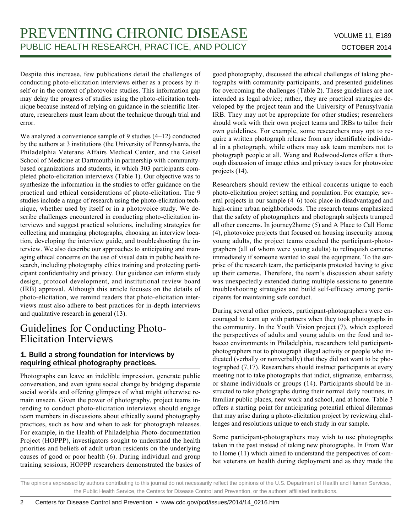Despite this increase, few publications detail the challenges of conducting photo-elicitation interviews either as a process by itself or in the context of photovoice studies. This information gap may delay the progress of studies using the photo-elicitation technique because instead of relying on guidance in the scientific literature, researchers must learn about the technique through trial and error.

We analyzed a convenience sample of 9 studies (4–12) conducted by the authors at 3 institutions (the University of Pennsylvania, the Philadelphia Veterans Affairs Medical Center, and the Geisel School of Medicine at Dartmouth) in partnership with communitybased organizations and students, in which 303 participants completed photo-elicitation interviews (Table 1). Our objective was to synthesize the information in the studies to offer guidance on the practical and ethical considerations of photo-elicitation. The 9 studies include a range of research using the photo-elicitation technique, whether used by itself or in a photovoice study. We describe challenges encountered in conducting photo-elicitation interviews and suggest practical solutions, including strategies for collecting and managing photographs, choosing an interview location, developing the interview guide, and troubleshooting the interview. We also describe our approaches to anticipating and managing ethical concerns on the use of visual data in public health research, including photography ethics training and protecting participant confidentiality and privacy. Our guidance can inform study design, protocol development, and institutional review board (IRB) approval. Although this article focuses on the details of photo-elicitation, we remind readers that photo-elicitation interviews must also adhere to best practices for in-depth interviews and qualitative research in general (13).

# Guidelines for Conducting Photo-Elicitation Interviews

### 1. Build a strong foundation for interviews by requiring ethical photography practices.

Photographs can leave an indelible impression, generate public conversation, and even ignite social change by bridging disparate social worlds and offering glimpses of what might otherwise remain unseen. Given the power of photography, project teams intending to conduct photo-elicitation interviews should engage team members in discussions about ethically sound photography practices, such as how and when to ask for photograph releases. For example, in the Health of Philadelphia Photo-documentation Project (HOPPP), investigators sought to understand the health priorities and beliefs of adult urban residents on the underlying causes of good or poor health (6). During individual and group training sessions, HOPPP researchers demonstrated the basics of

good photography, discussed the ethical challenges of taking photographs with community participants, and presented guidelines for overcoming the challenges (Table 2). These guidelines are not intended as legal advice; rather, they are practical strategies developed by the project team and the University of Pennsylvania IRB. They may not be appropriate for other studies; researchers should work with their own project teams and IRBs to tailor their own guidelines. For example, some researchers may opt to require a written photograph release from any identifiable individual in a photograph, while others may ask team members not to photograph people at all. Wang and Redwood-Jones offer a thorough discussion of image ethics and privacy issues for photovoice projects (14).

Researchers should review the ethical concerns unique to each photo-elicitation project setting and population. For example, several projects in our sample (4–6) took place in disadvantaged and high-crime urban neighborhoods. The research teams emphasized that the safety of photographers and photograph subjects trumped all other concerns. In journey2home (5) and A Place to Call Home (4), photovoice projects that focused on housing insecurity among young adults, the project teams coached the participant-photographers (all of whom were young adults) to relinquish cameras immediately if someone wanted to steal the equipment. To the surprise of the research team, the participants protested having to give up their cameras. Therefore, the team's discussion about safety was unexpectedly extended during multiple sessions to generate troubleshooting strategies and build self-efficacy among participants for maintaining safe conduct.

During several other projects, participant-photographers were encouraged to team up with partners when they took photographs in the community. In the Youth Vision project (7), which explored the perspectives of adults and young adults on the food and tobacco environments in Philadelphia, researchers told participantphotographers not to photograph illegal activity or people who indicated (verbally or nonverbally) that they did not want to be photographed (7,17). Researchers should instruct participants at every meeting not to take photographs that indict, stigmatize, embarrass, or shame individuals or groups (14). Participants should be instructed to take photographs during their normal daily routines, in familiar public places, near work and school, and at home. Table 3 offers a starting point for anticipating potential ethical dilemmas that may arise during a photo-elicitation project by reviewing challenges and resolutions unique to each study in our sample.

Some participant-photographers may wish to use photographs taken in the past instead of taking new photographs. In From War to Home (11) which aimed to understand the perspectives of combat veterans on health during deployment and as they made the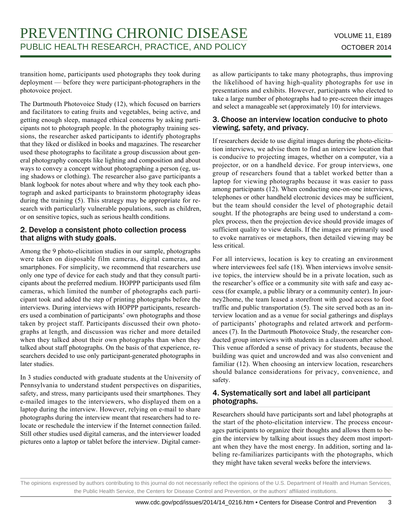transition home, participants used photographs they took during deployment — before they were participant-photographers in the photovoice project.

The Dartmouth Photovoice Study (12), which focused on barriers and facilitators to eating fruits and vegetables, being active, and getting enough sleep, managed ethical concerns by asking participants not to photograph people. In the photography training sessions, the researcher asked participants to identify photographs that they liked or disliked in books and magazines. The researcher used these photographs to facilitate a group discussion about general photography concepts like lighting and composition and about ways to convey a concept without photographing a person (eg, using shadows or clothing). The researcher also gave participants a blank logbook for notes about where and why they took each photograph and asked participants to brainstorm photography ideas during the training (5). This strategy may be appropriate for research with particularly vulnerable populations, such as children, or on sensitive topics, such as serious health conditions.

#### 2. Develop a consistent photo collection process that aligns with study goals.

Among the 9 photo-elicitation studies in our sample, photographs were taken on disposable film cameras, digital cameras, and smartphones. For simplicity, we recommend that researchers use only one type of device for each study and that they consult participants about the preferred medium. HOPPP participants used film cameras, which limited the number of photographs each participant took and added the step of printing photographs before the interviews. During interviews with HOPPP participants, researchers used a combination of participants' own photographs and those taken by project staff. Participants discussed their own photographs at length, and discussion was richer and more detailed when they talked about their own photographs than when they talked about staff photographs. On the basis of that experience, researchers decided to use only participant-generated photographs in later studies.

In 3 studies conducted with graduate students at the University of Pennsylvania to understand student perspectives on disparities, safety, and stress, many participants used their smartphones. They e-mailed images to the interviewers, who displayed them on a laptop during the interview. However, relying on e-mail to share photographs during the interview meant that researchers had to relocate or reschedule the interview if the Internet connection failed. Still other studies used digital cameras, and the interviewer loaded pictures onto a laptop or tablet before the interview. Digital cameras allow participants to take many photographs, thus improving the likelihood of having high-quality photographs for use in presentations and exhibits. However, participants who elected to take a large number of photographs had to pre-screen their images and select a manageable set (approximately 10) for interviews.

### 3. Choose an interview location conducive to photo viewing, safety, and privacy.

If researchers decide to use digital images during the photo-elicitation interviews, we advise them to find an interview location that is conducive to projecting images, whether on a computer, via a projector, or on a handheld device. For group interviews, one group of researchers found that a tablet worked better than a laptop for viewing photographs because it was easier to pass among participants (12). When conducting one-on-one interviews, telephones or other handheld electronic devices may be sufficient, but the team should consider the level of photographic detail sought. If the photographs are being used to understand a complex process, then the projection device should provide images of sufficient quality to view details. If the images are primarily used to evoke narratives or metaphors, then detailed viewing may be less critical.

For all interviews, location is key to creating an environment where interviewees feel safe (18). When interviews involve sensitive topics, the interview should be in a private location, such as the researcher's office or a community site with safe and easy access (for example, a public library or a community center). In journey2home, the team leased a storefront with good access to foot traffic and public transportation (5). The site served both as an interview location and as a venue for social gatherings and displays of participants' photographs and related artwork and performances (7). In the Dartmouth Photovoice Study, the researcher conducted group interviews with students in a classroom after school. This venue afforded a sense of privacy for students, because the building was quiet and uncrowded and was also convenient and familiar (12). When choosing an interview location, researchers should balance considerations for privacy, convenience, and safety.

### 4. Systematically sort and label all participant photographs.

Researchers should have participants sort and label photographs at the start of the photo-elicitation interview. The process encourages participants to organize their thoughts and allows them to begin the interview by talking about issues they deem most important when they have the most energy. In addition, sorting and labeling re-familiarizes participants with the photographs, which they might have taken several weeks before the interviews.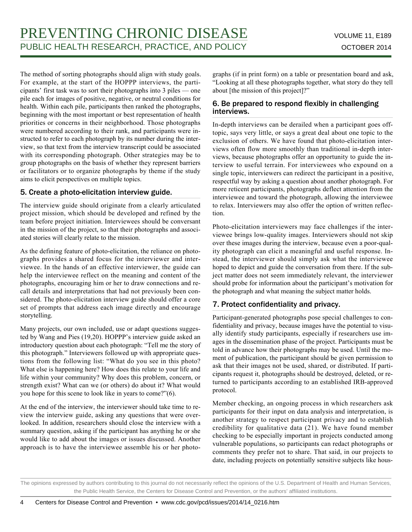The method of sorting photographs should align with study goals. For example, at the start of the HOPPP interviews, the participants' first task was to sort their photographs into 3 piles — one pile each for images of positive, negative, or neutral conditions for health. Within each pile, participants then ranked the photographs, beginning with the most important or best representation of health priorities or concerns in their neighborhood. Those photographs were numbered according to their rank, and participants were instructed to refer to each photograph by its number during the interview, so that text from the interview transcript could be associated with its corresponding photograph. Other strategies may be to group photographs on the basis of whether they represent barriers or facilitators or to organize photographs by theme if the study aims to elicit perspectives on multiple topics.

## 5. Create a photo-elicitation interview guide.

The interview guide should originate from a clearly articulated project mission, which should be developed and refined by the team before project initiation. Interviewees should be conversant in the mission of the project, so that their photographs and associated stories will clearly relate to the mission.

As the defining feature of photo-elicitation, the reliance on photographs provides a shared focus for the interviewer and interviewee. In the hands of an effective interviewer, the guide can help the interviewee reflect on the meaning and content of the photographs, encouraging him or her to draw connections and recall details and interpretations that had not previously been considered. The photo-elicitation interview guide should offer a core set of prompts that address each image directly and encourage storytelling.

Many projects, our own included, use or adapt questions suggested by Wang and Pies (19,20). HOPPP's interview guide asked an introductory question about each photograph: "Tell me the story of this photograph." Interviewers followed up with appropriate questions from the following list: "What do you see in this photo? What else is happening here? How does this relate to your life and life within your community? Why does this problem, concern, or strength exist? What can we (or others) do about it? What would you hope for this scene to look like in years to come?"(6).

At the end of the interview, the interviewer should take time to review the interview guide, asking any questions that were overlooked. In addition, researchers should close the interview with a summary question, asking if the participant has anything he or she would like to add about the images or issues discussed. Another approach is to have the interviewee assemble his or her photographs (if in print form) on a table or presentation board and ask, "Looking at all these photographs together, what story do they tell about [the mission of this project]?"

### 6. Be prepared to respond flexibly in challenging interviews.

In-depth interviews can be derailed when a participant goes offtopic, says very little, or says a great deal about one topic to the exclusion of others. We have found that photo-elicitation interviews often flow more smoothly than traditional in-depth interviews, because photographs offer an opportunity to guide the interview to useful terrain. For interviewees who expound on a single topic, interviewers can redirect the participant in a positive, respectful way by asking a question about another photograph. For more reticent participants, photographs deflect attention from the interviewee and toward the photograph, allowing the interviewee to relax. Interviewers may also offer the option of written reflection.

Photo-elicitation interviewers may face challenges if the interviewee brings low-quality images. Interviewers should not skip over these images during the interview, because even a poor-quality photograph can elicit a meaningful and useful response. Instead, the interviewer should simply ask what the interviewee hoped to depict and guide the conversation from there. If the subject matter does not seem immediately relevant, the interviewer should probe for information about the participant's motivation for the photograph and what meaning the subject matter holds.

## 7. Protect confidentiality and privacy.

Participant-generated photographs pose special challenges to confidentiality and privacy, because images have the potential to visually identify study participants, especially if researchers use images in the dissemination phase of the project. Participants must be told in advance how their photographs may be used. Until the moment of publication, the participant should be given permission to ask that their images not be used, shared, or distributed. If participants request it, photographs should be destroyed, deleted, or returned to participants according to an established IRB-approved protocol.

Member checking, an ongoing process in which researchers ask participants for their input on data analysis and interpretation, is another strategy to respect participant privacy and to establish credibility for qualitative data (21). We have found member checking to be especially important in projects conducted among vulnerable populations, so participants can redact photographs or comments they prefer not to share. That said, in our projects to date, including projects on potentially sensitive subjects like hous-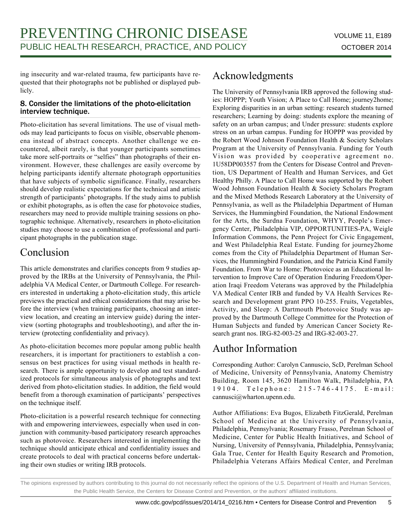ing insecurity and war-related trauma, few participants have requested that their photographs not be published or displayed publicly.

### 8. Consider the limitations of the photo-elicitation interview technique.

Photo-elicitation has several limitations. The use of visual methods may lead participants to focus on visible, observable phenomena instead of abstract concepts. Another challenge we encountered, albeit rarely, is that younger participants sometimes take more self-portraits or "selfies" than photographs of their environment. However, these challenges are easily overcome by helping participants identify alternate photograph opportunities that have subjects of symbolic significance. Finally, researchers should develop realistic expectations for the technical and artistic strength of participants' photographs. If the study aims to publish or exhibit photographs, as is often the case for photovoice studies, researchers may need to provide multiple training sessions on photographic technique. Alternatively, researchers in photo-elicitation studies may choose to use a combination of professional and participant photographs in the publication stage.

# Conclusion

This article demonstrates and clarifies concepts from 9 studies approved by the IRBs at the University of Pennsylvania, the Philadelphia VA Medical Center, or Dartmouth College. For researchers interested in undertaking a photo-elicitation study, this article previews the practical and ethical considerations that may arise before the interview (when training participants, choosing an interview location, and creating an interview guide) during the interview (sorting photographs and troubleshooting), and after the interview (protecting confidentiality and privacy).

As photo-elicitation becomes more popular among public health researchers, it is important for practitioners to establish a consensus on best practices for using visual methods in health research. There is ample opportunity to develop and test standardized protocols for simultaneous analysis of photographs and text derived from photo-elicitation studies. In addition, the field would benefit from a thorough examination of participants' perspectives on the technique itself.

Photo-elicitation is a powerful research technique for connecting with and empowering interviewees, especially when used in conjunction with community-based participatory research approaches such as photovoice. Researchers interested in implementing the technique should anticipate ethical and confidentiality issues and create protocols to deal with practical concerns before undertaking their own studies or writing IRB protocols.

# Acknowledgments

The University of Pennsylvania IRB approved the following studies: HOPPP; Youth Vision; A Place to Call Home; journey2home; Exploring disparities in an urban setting: research students turned researchers; Learning by doing: students explore the meaning of safety on an urban campus; and Under pressure: students explore stress on an urban campus. Funding for HOPPP was provided by the Robert Wood Johnson Foundation Health & Society Scholars Program at the University of Pennsylvania. Funding for Youth Vision was provided by cooperative agreement no. 1U58DP003557 from the Centers for Disease Control and Prevention, US Department of Health and Human Services, and Get Healthy Philly. A Place to Call Home was supported by the Robert Wood Johnson Foundation Health & Society Scholars Program and the Mixed Methods Research Laboratory at the University of Pennsylvania, as well as the Philadelphia Department of Human Services, the Hummingbird Foundation, the National Endowment for the Arts, the Surdna Foundation, WHYY, People's Emergency Center, Philadelphia VIP, OPPORTUNITIES-PA, Weigle Information Commons, the Penn Project for Civic Engagement, and West Philadelphia Real Estate. Funding for journey2home comes from the City of Philadelphia Department of Human Services, the Hummingbird Foundation, and the Patricia Kind Family Foundation. From War to Home: Photovoice as an Educational Intervention to Improve Care of Operation Enduring Freedom/Operation Iraqi Freedom Veterans was approved by the Philadelphia VA Medical Center IRB and funded by VA Health Services Research and Development grant PPO 10-255. Fruits, Vegetables, Activity, and Sleep: A Dartmouth Photovoice Study was approved by the Dartmouth College Committee for the Protection of Human Subjects and funded by American Cancer Society Research grant nos. IRG-82-003-25 and IRG-82-003-27.

# Author Information

Corresponding Author: Carolyn Cannuscio, ScD, Perelman School of Medicine, University of Pennsylvania, Anatomy Chemistry Building, Room 145, 3620 Hamilton Walk, Philadelphia, PA 19104. Telephone: 215-746-4175. E-mail: [cannusci@wharton.upenn.edu.](mailto:cannusci@wharton.upenn.edu)

Author Affiliations: Eva Bugos, Elizabeth FitzGerald, Perelman School of Medicine at the University of Pennsylvania, Philadelphia, Pennsylvania; Rosemary Frasso, Perelman School of Medicine, Center for Public Health Initiatives, and School of Nursing, University of Pennsylvania, Philadelphia, Pennsylvania; Gala True, Center for Health Equity Research and Promotion, Philadelphia Veterans Affairs Medical Center, and Perelman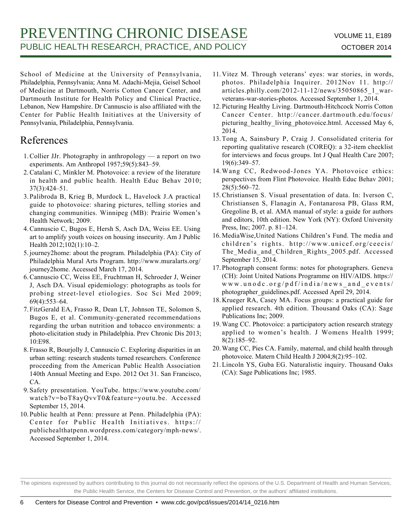# PREVENTING CHRONIC DISEASE VOLUME 11, E189 PUBLIC HEALTH RESEARCH, PRACTICE, AND POLICY OCTOBER 2014

School of Medicine at the University of Pennsylvania, Philadelphia, Pennsylvania; Anna M. Adachi-Mejia, Geisel School of Medicine at Dartmouth, Norris Cotton Cancer Center, and Dartmouth Institute for Health Policy and Clinical Practice, Lebanon, New Hampshire. Dr Cannuscio is also affiliated with the Center for Public Health Initiatives at the University of Pennsylvania, Philadelphia, Pennsylvania.

# References

- 1.Collier JJr. Photography in anthropology a report on two experiments. Am Anthropol 1957;59(5):843–59.
- 2.Catalani C, Minkler M. Photovoice: a review of the literature in health and public health. Health Educ Behav 2010; 37(3):424–51.
- 3. Palibroda B, Krieg B, Murdock L, Havelock J.A practical guide to photovoice: sharing pictures, telling stories and changing communities. Winnipeg (MB): Prairie Women's Health Network; 2009.
- 4.Cannuscio C, Bugos E, Hersh S, Asch DA, Weiss EE. Using art to amplify youth voices on housing insecurity. Am J Public Health 2012;102(1):10–2.
- 5. journey2home: about the program. Philadelphia (PA): City of Philadelphia Mural Arts Program. <http://www.muralarts.org>/ journey2home. Accessed March 17, 2014.
- 6.Cannuscio CC, Weiss EE, Fruchtman H, Schroeder J, Weiner J, Asch DA. Visual epidemiology: photographs as tools for probing street-level etiologies. Soc Sci Med 2009; 69(4):553–64.
- 7. FitzGerald EA, Frasso R, Dean LT, Johnson TE, Solomon S, Bugos E, et al. Community-generated recommendations regarding the urban nutrition and tobacco environments: a photo-elicitation study in Philadelphia. Prev Chronic Dis 2013; 10:E98.
- 8. Frasso R, Bourjolly J, Cannuscio C. Exploring disparities in an urban setting: research students turned researchers. Conference proceeding from the American Public Health Association 140th Annual Meeting and Expo. 2012 Oct 31. San Francisco, CA.
- 9. Safety presentation. YouTube. <https://www.youtube.com>/ [watch?v=boT8ayQvvT0&feature=youtu.be](https://watch?v=boT8ayQvvT0&feature=youtu.be). Accessed September 15, 2014.
- 10. Public health at Penn: pressure at Penn. Philadelphia (PA): Center for Public Health Initiatives. https:// [publichealthatpenn.wordpress.com/category/mph-news](https://publichealthatpenn.wordpress.com/category/mph-news)/. Accessed September 1, 2014.
- 11. Vitez M. Through veterans' eyes: war stories, in words, photos. Philadelphia Inquirer. 2012Nov 11. http:// [articles.philly.com/2012-11-12/news/35050865\\_1\\_war](https://articles.philly.com/2012-11-12/news/35050865_1_war)veterans-war-stories-photos. Accessed September 1, 2014.
- 12. Picturing Healthy Living. Dartmouth-Hitchcock Norris Cotton Cancer Center. <http://cancer.dartmouth.edu/focus>/ picturing healthy living photovoice.html. Accessed May 6, 2014.
- 13.Tong A, Sainsbury P, Craig J. Consolidated criteria for reporting qualitative research (COREQ): a 32-item checklist for interviews and focus groups. Int J Qual Health Care 2007; 19(6):349–57.
- 14.Wang CC, Redwood-Jones YA. Photovoice ethics: perspectives from Flint Photovoice. Health Educ Behav 2001; 28(5):560–72.
- 15.Christiansen S. Visual presentation of data. In: Iverson C, Christiansen S, Flanagin A, Fontanarosa PB, Glass RM, Gregoline B, et al. AMA manual of style: a guide for authors and editors, 10th edition. New York (NY): Oxford University Press, Inc; 2007. p. 81–124.
- 16. MediaWise,United Nations Children's Fund. The media and children's rights. <http://www.unicef.org/ceecis>/ The Media and Children Rights 2005.pdf. Accessed September 15, 2014.
- 17. Photograph consent forms: notes for photographers. Geneva (CH): Joint United Nations Programme on HIV/AIDS. https:// [www.unodc.org/pdf/india/news\\_and\\_events](www.unodc.org/pdf/india/news_and_events)/ photographer\_guidelines.pdf. Accessed April 29, 2014.
- 18. Krueger RA, Casey MA. Focus groups: a practical guide for applied research. 4th edition. Thousand Oaks (CA): Sage Publications Inc; 2009.
- 19.Wang CC. Photovoice: a participatory action research strategy applied to women's health. J Womens Health 1999; 8(2):185–92.
- 20.Wang CC, Pies CA. Family, maternal, and child health through photovoice. Matern Child Health J 2004;8(2):95–102.
- 21.Lincoln YS, Guba EG. Naturalistic inquiry. Thousand Oaks (CA): Sage Publications Inc; 1985.

The opinions expressed by authors contributing to this journal do not necessarily reflect the opinions of the U.S. Department of Health and Human Services, the Public Health Service, the Centers for Disease Control and Prevention, or the authors' affiliated institutions.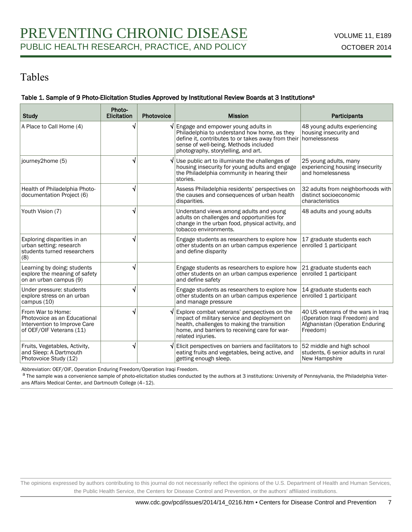# Tables

#### Table 1. Sample of 9 Photo-Elicitation Studies Approved by Institutional Review Boards at 3 Institutions<sup>a</sup>

| <b>Study</b>                                                                                                  | Photo-<br><b>Elicitation</b> | Photovoice | <b>Mission</b>                                                                                                                                                                                                                          | Participants                                                                                                       |
|---------------------------------------------------------------------------------------------------------------|------------------------------|------------|-----------------------------------------------------------------------------------------------------------------------------------------------------------------------------------------------------------------------------------------|--------------------------------------------------------------------------------------------------------------------|
| A Place to Call Home (4)                                                                                      |                              |            | Engage and empower young adults in<br>Philadelphia to understand how home, as they<br>define it, contributes to or takes away from their   homelessness<br>sense of well-being. Methods included<br>photography, storytelling, and art. | 48 young adults experiencing<br>housing insecurity and                                                             |
| journey2home (5)                                                                                              |                              |            | Use public art to illuminate the challenges of<br>housing insecurity for young adults and engage<br>the Philadelphia community in hearing their<br>stories.                                                                             | 25 young adults, many<br>experiencing housing insecurity<br>and homelessness                                       |
| Health of Philadelphia Photo-<br>documentation Project (6)                                                    |                              |            | Assess Philadelphia residents' perspectives on<br>the causes and consequences of urban health<br>disparities.                                                                                                                           | 32 adults from neighborhoods with<br>distinct socioeconomic<br>characteristics                                     |
| Youth Vision (7)                                                                                              |                              |            | Understand views among adults and young<br>adults on challenges and opportunities for<br>change in the urban food, physical activity, and<br>tobacco environments.                                                                      | 48 adults and young adults                                                                                         |
| Exploring disparities in an<br>urban setting: research<br>students turned researchers<br>(8)                  |                              |            | Engage students as researchers to explore how<br>other students on an urban campus experience<br>and define disparity                                                                                                                   | 17 graduate students each<br>enrolled 1 participant                                                                |
| Learning by doing: students<br>explore the meaning of safety<br>on an urban campus (9)                        |                              |            | Engage students as researchers to explore how<br>other students on an urban campus experience<br>and define safety                                                                                                                      | 21 graduate students each<br>enrolled 1 participant                                                                |
| Under pressure: students<br>explore stress on an urban<br>campus (10)                                         |                              |            | Engage students as researchers to explore how<br>other students on an urban campus experience<br>and manage pressure                                                                                                                    | 14 graduate students each<br>enrolled 1 participant                                                                |
| From War to Home:<br>Photovoice as an Educational<br>Intervention to Improve Care<br>of OEF/OIF Veterans (11) |                              |            | Explore combat veterans' perspectives on the<br>impact of military service and deployment on<br>health, challenges to making the transition<br>home, and barriers to receiving care for war-<br>related injuries.                       | 40 US veterans of the wars in Irag<br>(Operation Iragi Freedom) and<br>Afghanistan (Operation Enduring<br>Freedom) |
| Fruits, Vegetables, Activity,<br>and Sleep: A Dartmouth<br>Photovoice Study (12)                              |                              |            | Elicit perspectives on barriers and facilitators to<br>eating fruits and vegetables, being active, and<br>getting enough sleep.                                                                                                         | 52 middle and high school<br>students, 6 senior adults in rural<br>New Hampshire                                   |

Abbreviation: OEF/OIF, Operation Enduring Freedom/Operation Iraqi Freedom.

a The sample was a convenience sample of photo-elicitation studies conducted by the authors at 3 institutions: University of Pennsylvania, the Philadelphia Veterans Affairs Medical Center, and Dartmouth College (4–12).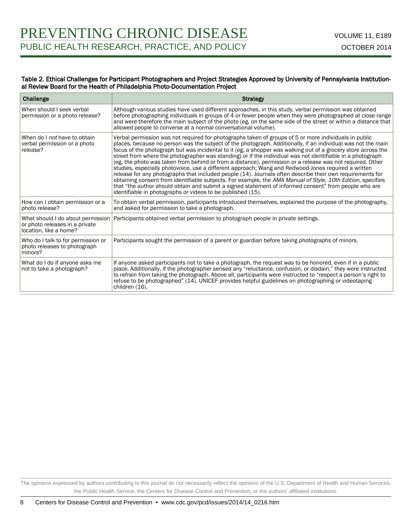#### Table 2. Ethical Challenges for Participant Photographers and Project Strategies Approved by University of Pennsylvania Institutional Review Board for the Health of Philadelphia Photo-Documentation Project

| Challenge                                                                                     | <b>Strategy</b>                                                                                                                                                                                                                                                                                                                                                                                                                                                                                                                                                                                                                                                                                                                                                                                                                                                                                                                                                                                                                                                              |
|-----------------------------------------------------------------------------------------------|------------------------------------------------------------------------------------------------------------------------------------------------------------------------------------------------------------------------------------------------------------------------------------------------------------------------------------------------------------------------------------------------------------------------------------------------------------------------------------------------------------------------------------------------------------------------------------------------------------------------------------------------------------------------------------------------------------------------------------------------------------------------------------------------------------------------------------------------------------------------------------------------------------------------------------------------------------------------------------------------------------------------------------------------------------------------------|
| When should I seek verbal<br>permission or a photo release?                                   | Although various studies have used different approaches, in this study, verbal permission was obtained<br>before photographing individuals in groups of 4 or fewer people when they were photographed at close range<br>and were therefore the main subject of the photo (eg, on the same side of the street or within a distance that<br>allowed people to converse at a normal conversational volume).                                                                                                                                                                                                                                                                                                                                                                                                                                                                                                                                                                                                                                                                     |
| When do I not have to obtain<br>verbal permission or a photo<br>release?                      | Verbal permission was not required for photographs taken of groups of 5 or more individuals in public<br>places, because no person was the subject of the photograph. Additionally, if an individual was not the main<br>focus of the photograph but was incidental to it (eg, a shopper was walking out of a grocery store across the<br>street from where the photographer was standing) or if the individual was not identifiable in a photograph<br>(eg, the photo was taken from behind or from a distance), permission or a release was not required. Other<br>studies, especially photovoice, use a different approach; Wang and Redwood-Jones required a written<br>release for any photographs that included people (14). Journals often describe their own requirements for<br>obtaining consent from identifiable subjects. For example, the AMA Manual of Style, 10th Edition, specifies<br>that "the author should obtain and submit a signed statement of informed consent" from people who are<br>identifiable in photographs or videos to be published (15). |
| How can I obtain permission or a<br>photo release?                                            | To obtain verbal permission, participants introduced themselves, explained the purpose of the photography,<br>and asked for permission to take a photograph.                                                                                                                                                                                                                                                                                                                                                                                                                                                                                                                                                                                                                                                                                                                                                                                                                                                                                                                 |
| What should I do about permission<br>or photo releases in a private<br>location, like a home? | Participants obtained verbal permission to photograph people in private settings.                                                                                                                                                                                                                                                                                                                                                                                                                                                                                                                                                                                                                                                                                                                                                                                                                                                                                                                                                                                            |
| Who do I talk to for permission or<br>photo releases to photograph<br>minors?                 | Participants sought the permission of a parent or guardian before taking photographs of minors.                                                                                                                                                                                                                                                                                                                                                                                                                                                                                                                                                                                                                                                                                                                                                                                                                                                                                                                                                                              |
| What do I do if anyone asks me<br>not to take a photograph?                                   | If anyone asked participants not to take a photograph, the request was to be honored, even if in a public<br>place. Additionally, if the photographer sensed any "reluctance, confusion, or disdain," they were instructed<br>to refrain from taking the photograph. Above all, participants were instructed to "respect a person's right to<br>refuse to be photographed" (14). UNICEF provides helpful guidelines on photographing or videotaping<br>children (16).                                                                                                                                                                                                                                                                                                                                                                                                                                                                                                                                                                                                        |